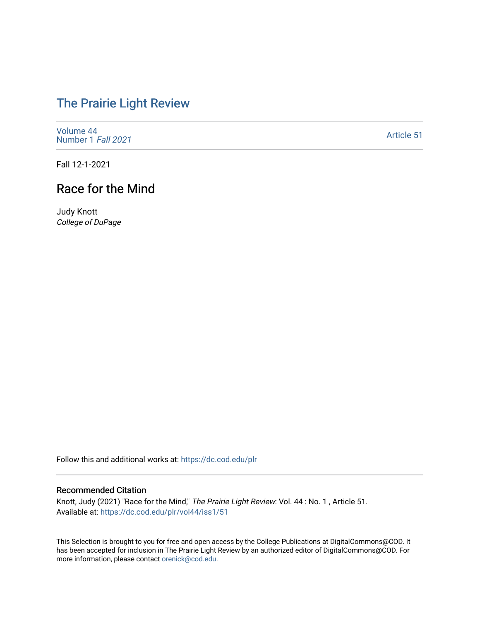## [The Prairie Light Review](https://dc.cod.edu/plr)

[Volume 44](https://dc.cod.edu/plr/vol44) [Number 1](https://dc.cod.edu/plr/vol44/iss1) Fall 2021

[Article 51](https://dc.cod.edu/plr/vol44/iss1/51) 

Fall 12-1-2021

## Race for the Mind

Judy Knott College of DuPage

Follow this and additional works at: [https://dc.cod.edu/plr](https://dc.cod.edu/plr?utm_source=dc.cod.edu%2Fplr%2Fvol44%2Fiss1%2F51&utm_medium=PDF&utm_campaign=PDFCoverPages) 

## Recommended Citation

Knott, Judy (2021) "Race for the Mind," The Prairie Light Review: Vol. 44 : No. 1 , Article 51. Available at: [https://dc.cod.edu/plr/vol44/iss1/51](https://dc.cod.edu/plr/vol44/iss1/51?utm_source=dc.cod.edu%2Fplr%2Fvol44%2Fiss1%2F51&utm_medium=PDF&utm_campaign=PDFCoverPages)

This Selection is brought to you for free and open access by the College Publications at DigitalCommons@COD. It has been accepted for inclusion in The Prairie Light Review by an authorized editor of DigitalCommons@COD. For more information, please contact [orenick@cod.edu.](mailto:orenick@cod.edu)